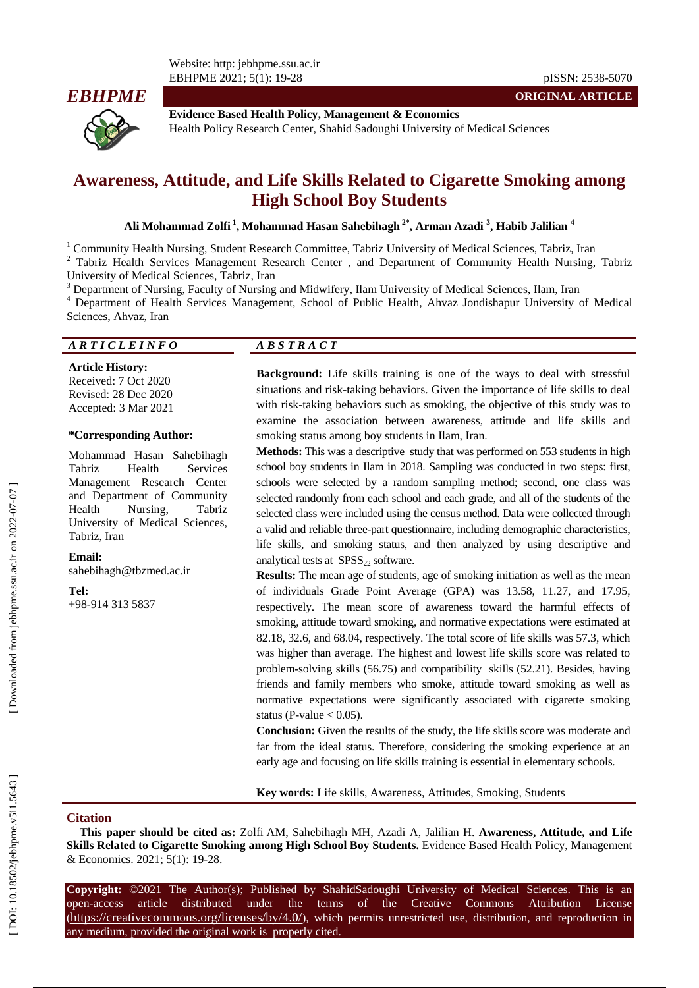

**Evidence Based Health Policy, Management & Economics** Health Policy Research Center, Shahid Sadoughi University of Medical Sciences

# **Awareness, Attitude , and Life Skills Related to Cigarette Smoking among High School Boy Students**

Ali Mohammad Zolfi <sup>1</sup>, Mohammad Hasan Sahebihagh <sup>2\*</sup>, Arman Azadi <sup>3</sup>, Habib Jalilian <sup>4</sup>

<sup>1</sup> Community Health Nursing, Student Research Committee, Tabriz University of Medical Sciences, Tabriz, Iran  $2$  Tabriz Health Services Management Research Center , and Department of Community Health Nursing, Tabriz University of Medical Sciences, Tabriz, Iran<br>
<sup>3</sup> Department of Nursing, Faculty of Nursing and Midwifery, Ilam University of Medical Sciences, Ilam, Iran<br>
<sup>4</sup> Department of Health Services Management, School of Public Hea

Sciences, Ahvaz, Iran

## *A R T I C L E I N F O A B S T R A C T*

**Article History:** Received: 7 Oct 2020 Revised: 28 Dec 2020 Accepted: 3 Mar 2021

#### **\*Corresponding Author:**

Mohammad Hasan Sahebihagh Tabriz Health Services Management Research Center and Department of Community Health Nursing, Tabriz University of Medical Sciences, Tabriz, Iran

**Email:** saheb ihagh@tbzmed.ac.ir

#### **Tel:**

+98-914 313 5837

**Background:** Life skills training is one of the ways to deal with stressful situations and risk -taking behaviors. Given the importance of life skills to deal with risk -taking behaviors such as smoking, the objective of this study was to examine the association between awareness, attitude and life skills and smoking status among boy students in Ilam, Iran.

**Methods:** This was a descriptive study that was performed on 553 students in high school boy students in Ilam in 2018. Sampling was conducted in two steps: first, schools were selected by a random sampling method; second, one class was selected randomly from each school and each grade, and all of the students of the selected class were included using the census method. Data were collected through a valid and reliable three -part questionnaire, including demographic characteristics, life skills, and smoking status, and then analyzed by using descriptive and analytical tests at  $SPSS<sub>22</sub>$  software.

**Results:** The mean age of students, age of smoking initiation as well as the mean of individuals Grade Point Average (GPA) was 13.58, 11.27, and 17.95, respectively. The mean score of awareness toward the harmful effects of smoking, attitude toward smoking, and normative expectations were estimated at 82.18, 32.6, and 68.04, respectively. The total score of life skills was 57.3, which was higher than average. The highest and lowest life skills score was related to problem -solving skills (56.75) and compatibility skills (52.21). Besides, having friends and family members who smoke, attitude toward smoking as well as normative expectations were significantly associated with cigarette smoking status (P-value  $< 0.05$ ).

**Conclusion:** Given the results of the study, the life skills score was moderate and far from the ideal status. Therefore, considering the smoking experience at an early age and focusing on life skills training is essential in elementary schools.

**Key words:** Life skills, Awareness, Attitudes, Smoking, Students

#### **Citation**

**This paper should be cited as:** Zolfi AM, Sahebihagh MH, Azadi A, Jalilian H. **Awareness, Attitude, and Life Skills Related to Cigarette Smoking among High School Boy Students. Evidence Based Health Policy, Management** & Economics. 2021; 5(1): 19 -28 .

**Copyright:** ©2021 The Author(s); Published by ShahidSadoughi University of Medical Sciences. This is an open-access -access article distributed under the terms of the Creative Commons Attribution License (https://creativecommons.org/licenses/by/4.0/), which permits unrestricted use, distribution, and reproduction in any medium, provided the original work is properly cited.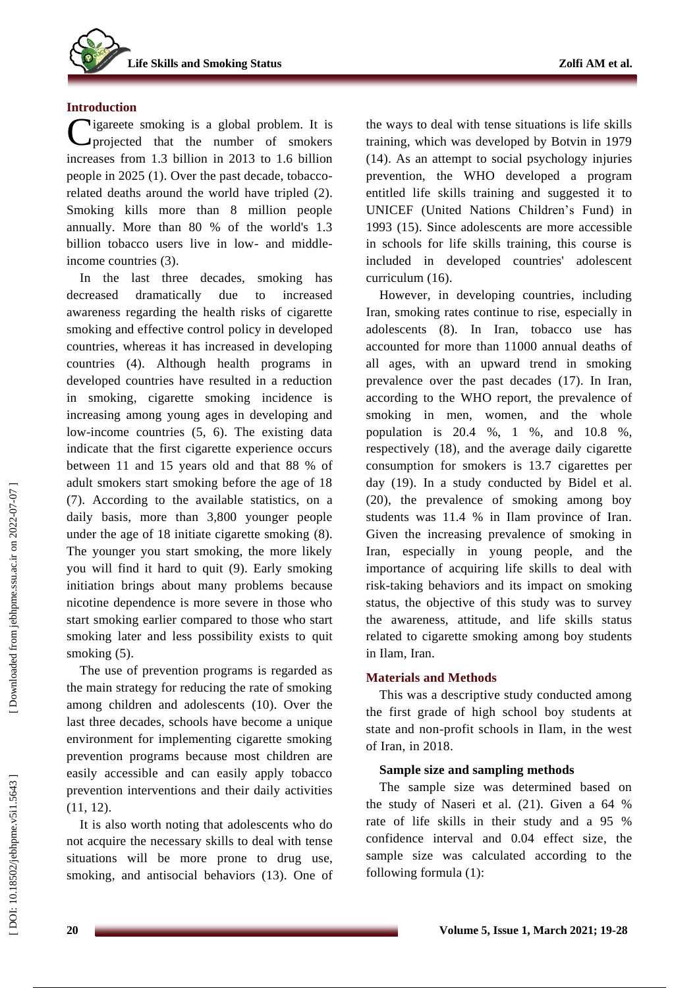## **Introduction**

Cigareete smoking is a global problem. It is projected that the number of smokers projected that the number of smokers increases from 1.3 billion in 2013 to 1.6 billion people in 2025 ( 1 ). Over the past decade, tobacco related deaths around the world have tripled ( 2 ). Smoking kills more than 8 million people annually. More than 80 % of the world's 1.3 billion tobacco users live in low- and middleincome countries (3).

In the last three decades, smoking has decreased dramatically due to increased awareness regarding the health risks of cigarette smoking and effective control policy in developed countries , whereas it has increased in developing countries ( 4 ). Although health programs in developed countries have resulted in a reduction in smoking , cigarette smoking incidence is increasing amo n g young ages in developing and low-income countries  $(5, 6)$ . The existing data indicate that the first cigarette experience occurs between 11 and 15 years old and that 88 % of adult smokers start smoking before the age of 18 (7). According to the available statistics, on a daily basis, more than 3,800 younger people under the age of 18 initiate cigarette smoking ( 8 ). The younger you start smoking, the more likely you will find it hard to quit ( 9 ). Early smoking initiation brings about many problems because nicotine dependence is more severe in those who start smoking earlier compared to those who start smoking later and less possibility exists to quit smoking (5).

The use of prevention programs is regarded as the main strategy for reducing the rate of smoking among children and adolescents (10 ) . Over the last three decades, schools have become a unique environment for implementing cigarette smoking prevention programs because most children are easily accessible and can easily apply tobacco prevention interventions and their daily activities (11, 12).

It is also worth noting that adolescents who do not acquire the necessary skills to deal with tens e situations will be more prone to drug use, smoking , and antisocial behaviors (13 ). One of the ways to deal with tense situations is life skills training , which was developed by Botvin in 1979 (14 ). As an attempt to social psychology injuries prevention, the WHO developed a program entitled life skills training and suggested it to UNICEF (United Nations Children's Fund) in 1993 (15 ) . Since adolescents are more accessible in schools for life skills training, this course is included in developed countries' adolescent curriculum (16 ) .

However, in developing countries, including Iran, smoking rates continue to rise, especially in adolescents (8). In Iran, tobacco use has accounted for more than 11000 annual deaths of all ages, with an upward trend in smoking prevalence over the past decades (17 ). In Iran, according to the WHO report, the prevalence of smoking in men, women , and the whole population is 20.4 %, 1 %, and 10.8 %, respectively (18 ) , and the average daily cigarette consumption for smokers is 13.7 cigarettes per day (19 ). In a study conducted by Bidel et al. (20 ), the prevalence of smoking among boy students was 11.4 % in Ilam province of Iran. Given the increasing prevalence of smoking in Iran, especially in young people, and the importance of acquiring life skills to deal with risk -taking behaviors and its impact on smoking status, the objective of this study was to survey the awareness, attitude , and life skills status related to cigarette smoking among boy students in Ilam, Iran.

## **Materials and Methods**

This was a descriptive study conducted among the first grade of high school boy students at state and non -profit schools in Ilam, in the west of Iran, in 2018 .

## **Sample size and sampling methods**

The sample size was determined based on the study of Naseri et al. (2 1). Given a 64 % rate of life skills in their study and a 95 % confidence interval and 0.04 effect size, the sample size was calculated according to the following formula (1):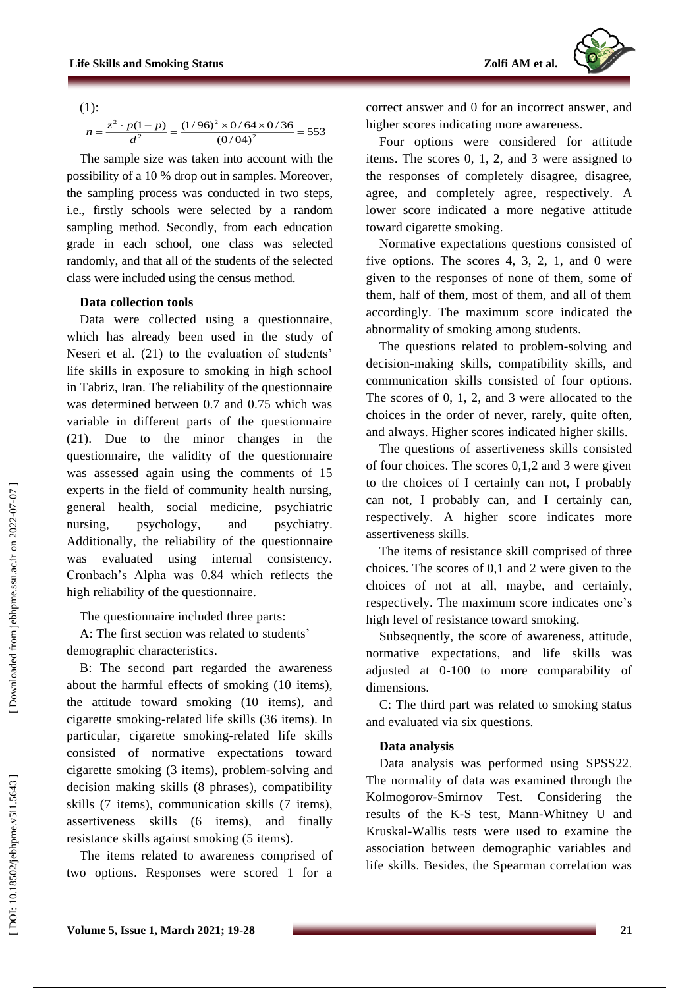(1):

$$
n = \frac{z^2 \cdot p(1-p)}{d^2} = \frac{(1/96)^2 \times 0/64 \times 0/36}{(0/04)^2} = 553
$$

The sample size was taken into account with the possibility of a 10 % drop out in samples. Moreover, the sampling process was conducted in two steps, i.e., firstly schools were selected by a random sampling method. Secondly, from each education grade in each school, one class was selected randomly , and that all of the students of the selected class were included using the census method.

## **Data collection tools**

Data were collected using a questionnaire , which has already been used in the study of Neseri et al. (21) to the evaluation of students' life skills in exposure to smoking in high school in Tabriz, Iran. The reliability of the questionnaire was determined between 0.7 and 0.75 which was variable in different parts of the questionnaire (21). Due to the minor changes in the questionnaire, the validity of the questionnaire was assessed again using the comments of 15 experts in the field of community health nursing, general health, social medicine, psychiatric nursing, psychology, and psychiatry. Additionally, the reliability of the questionnaire was evaluated using internal consistency. Cronbach's Alpha was 0.84 which reflects the high reliability of the questionnaire .

The questionnaire included three parts:

A: The first section was related to students ' demographic characteristics .

B: The second part regarded the awareness about the harmful effects of smoking (10 items), the attitude toward smoking (10 items ) , and cigarette smoking -related life skills (36 items). In particular, cigarette smoking -related life skills consisted of normative expectations toward cigarette smoking (3 items), problem -solving and decision making skills (8 phrases), compatibility skills (7 items), communication skills (7 items), assertiveness skills (6 items ) , and finally resistance skills against smoking (5 items).

The items related to awareness comprised of two options. Responses were scored 1 for a

correct answer and 0 for an incorrect answer , and higher scores indicating more awareness.

Four options were considered for attitude items. The scores 0, 1, 2, and 3 were assigned to the responses of completely disagree, disagree, agree , and completely agree , respectively. A lower score indicate d a more negative attitude toward cigarette smoking.

Normative expectations questions consisted of five options. The scores  $4, 3, 2, 1$ , and 0 were given to the responses of none of them, some of them, half of them, most of them, and all of them accordingly. The maximum score indicate d the abnormality of smoking among students.

The questions related to problem -solving and decision -making skills, compatibility skills, and communication skills consisted of four options. The scores of 0, 1, 2, and 3 were allocated to the choices in the order of never, rarely, quite often , and always. Higher scores indicate d higher skills.

The questions of assertiveness skill s consisted of four choices. The scores 0,1,2 and 3 were given to the choices of I certainly can not, I probably can not, I probably can , and I certainly can , respectively . A higher score indicates more assertiveness skill s .

The items of resistance skill comprised of three choices. The scores of 0,1 and 2 were given to the choices of not at all, maybe , and certainly , respectively. The maximum score indicates one's high level of resistance toward smoking.

Subsequently, the score of awareness, attitude, normative expectations , and life skills was adjusted at 0 -100 to more comparability of dimensions.

C: The third part was related to smoking status and evaluated via six questions.

## **Data analysis**

Data analysis was performed using SPSS22 . The normality of data was examined through the Kolmogorov -Smirnov Test. Considering the results of the K -S test, Mann -Whitney U and Kruskal - Wallis tests were used to examine the association between demographic variables and life skills. Besides, the Spearman correlation was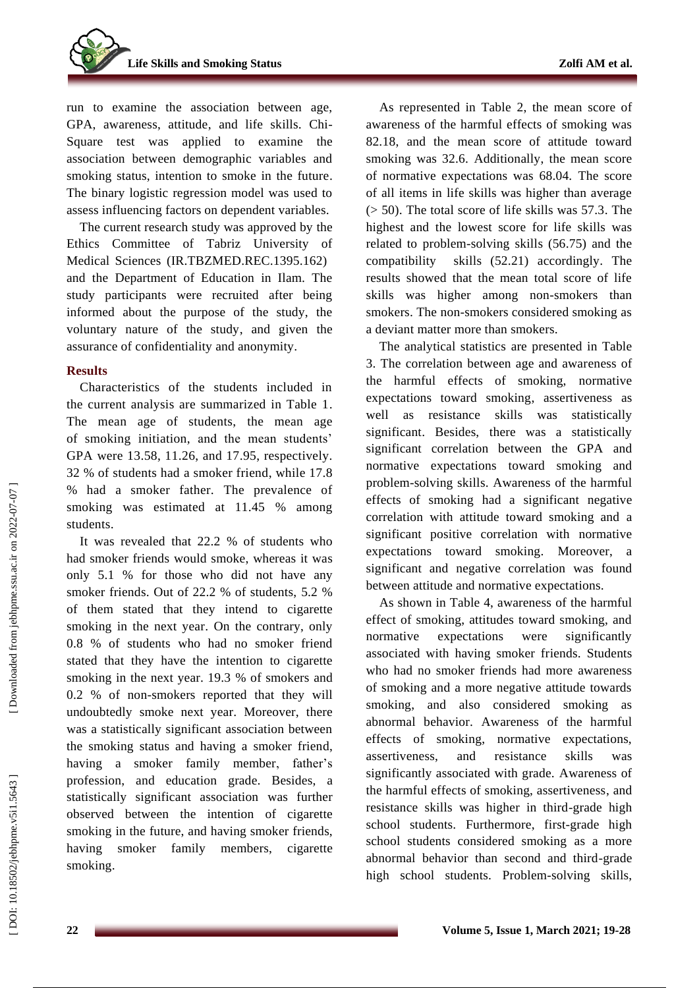**Life Skills and Smoking Status** 

run to examine the association between age, GPA, awareness, attitude , and life skills. Chi - Square test was applied to examine the association between demographic variables and smoking status, intention to smoke in the future . The binary logistic regression model was used to assess influencing factors on dependent variables.

The current research study was approved by the Ethics Committee of Tabriz University of Medical Sciences (IR.TBZMED.REC.1395.162) and the Department of Education in Ilam. The study participants were recruited after being informed about the purpose of the study, the voluntary nature of the study , and given the assurance of confidentiality and anonymity.

## **Results**

Characteristics of the students included in the current analysis are summarized in Table 1. The mean age of students, the mean age of smoking initiation, and the mean students' GPA were 13 .58, 11 . 26, and 17 .95, respectively. 32 % of students had a smoker friend , while 17.8 % had a smoker father. The prevalence of smoking was estimated at 11.45 % among students.

It was revealed that 22.2 % of students who had smoker friend s would smoke, whereas it was only 5.1 % for those who did not have any smoker friend s . Out of 22.2 % of students, 5.2 % of them stated that they inten d to cigarette smoking in the next year. On the contrary, only 0.8 % of students who had no smoker friend stated that they have the intention to cigarette smoking in the next year. 19.3 % of smokers and 0.2 % of non -smokers reported that they will undoubtedly smoke next year. Moreover, there was a statistically significant association between the smoking status and having a smoker friend, having a smoker family member, father's profession, and education grade. Besides, a statistically significant association was further observed between the intention of cigarette smoking in the future , and having smoker friends, having smoker family members, cigarette smoking .

As represented in Table 2 , the mean score of awareness of the harmful effects of smoking was 82.18 , and the mean score of attitude toward smoking was 32.6. Additionally, the mean score of normative expectations was 68.04. The score of all items in life skills was higher than average (> 50). Th e total score of life skills was 57.3. The highest and the lowest score for life skills was related to problem -solving skill s (56.75) and the compatibility skills (52.21) accordingly. The results showed that the mean total score of life skills was higher among non -smokers than smokers. The non -smokers considered smoking as a deviant matter more than smokers .

The analytical statistics are presented in Table 3. The correlation between age and awareness of the harmful effects of smoking, normative expectations toward smoking , assertiveness as well as resistance skills was statistically significant. Besides, there was a statistically significant correlation between the GPA and normative expectations toward smoking and problem -solving skill s. Awareness of the harmful effects of smoking had a significant negative correlation with attitude toward smoking and a significant positive correlation with normative expectations toward smoking. Moreover, a significant and negative correlation was found between attitude and normative expectations.

As shown in Table 4, awareness of the harmful effect of smoking, attitudes toward smoking, and normative expectations were significantly associated with having smoker friends. Students who had no smoker friend s had more awareness of smoking and a more negative attitude towards smoking, and also considere d smoking as abno rmal behavior. Awareness of the harmful effect s of smoking, normative expectations, assertiveness , and resistance skills was significantly associated with grade. Awareness of the harmful effects of smoking, assertiveness , and resistance skills was higher in third -grade high school students. Furthermore, first -grade high school students considered smoking as a more abnormal behavior than second and third -grade high school students. Problem -solving skills,

Downloaded from jebhpme.ssu.ac.ir on 2022-07-07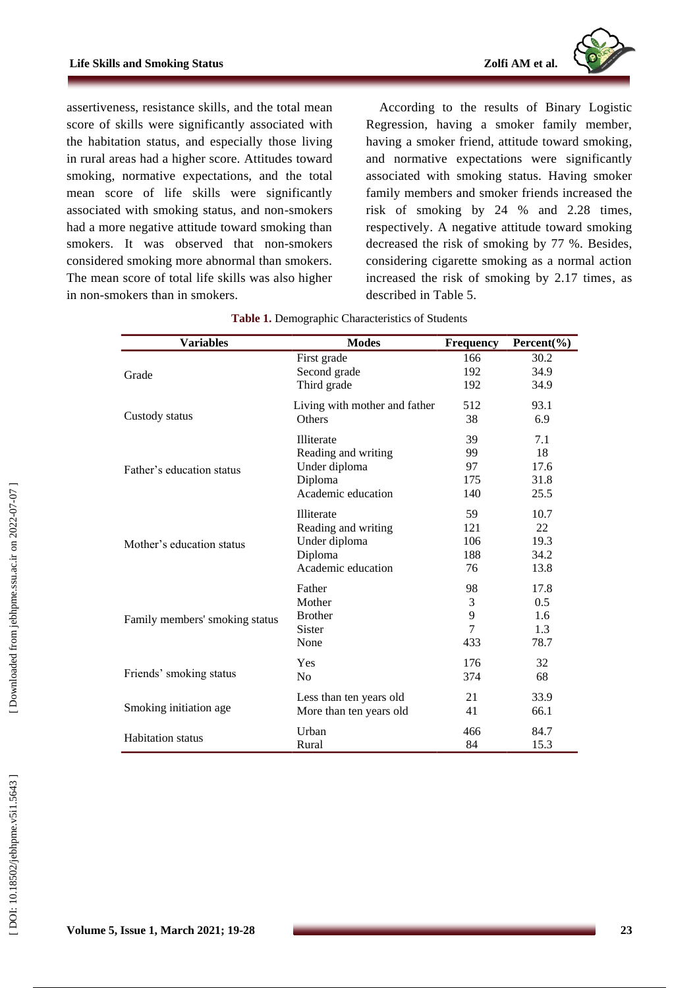

assertiveness, resistance skills , and the total mean score of skills were significantly associated with the habitation status, and especially those living in rural areas had a higher score. Attitudes toward smoking, normative expectations, and the total mean score of life skills were significantly associated with smoking status, and non -smokers had a more negative attitude toward smoking than smokers. It was observed that non -smokers considered smoking more abnormal than smokers. The mean score of total life skills was also higher in non -smokers than in smokers.

According to the results of Binary Logistic Regression, having a smoker family member, having a smoker friend, attitude toward smoking , and normative expectations were significantly associated with smoking status. Having smoker family member s and smoker friends increase d the risk of smoking by 24 % and 2.28 time s , respectively . A negative attitude toward smoking decrease d the risk of smoking by 77 %. Besides, considering cigarette smoking as a normal action increased the risk of smoking by 2.17 times , as described in Table 5.

| <b>Variables</b>               | <b>Modes</b>                  | <b>Frequency</b> | Percent(%)    |
|--------------------------------|-------------------------------|------------------|---------------|
|                                | First grade                   | 166              | 30.2          |
| Grade                          | Second grade                  | 192              | 34.9          |
|                                | Third grade                   | 192              | 34.9          |
|                                | Living with mother and father | 512              | 93.1          |
| Custody status                 | Others                        | 38               | 6.9           |
|                                | Illiterate                    | 39               | 7.1           |
|                                | Reading and writing           | 99               | 18            |
| Father's education status      | Under diploma                 | 97               | 17.6          |
|                                | Diploma                       | 175              | 31.8          |
|                                | Academic education            | 140              | 25.5          |
|                                | <b>Illiterate</b>             | 59               | 10.7          |
|                                | Reading and writing           | 121              | 22            |
| Mother's education status      | Under diploma                 | 106              | 19.3          |
|                                | Diploma                       | 188              | 34.2          |
|                                | Academic education            | 76               | 13.8          |
|                                | Father                        | 98               | 17.8          |
|                                | Mother                        | 3                | $0.5^{\circ}$ |
| Family members' smoking status | <b>Brother</b>                | 9                | 1.6           |
|                                | <b>Sister</b>                 | 7                | 1.3           |
|                                | None                          | 433              | 78.7          |
|                                | Yes                           | 176              | 32            |
| Friends' smoking status        | N <sub>0</sub>                | 374              | 68            |
|                                | Less than ten years old       | 21               | 33.9          |
| Smoking initiation age.        | More than ten years old       | 41               | 66.1          |
| <b>Habitation</b> status       | Urban                         | 466              | 84.7          |
|                                | Rural                         | 84               | 15.3          |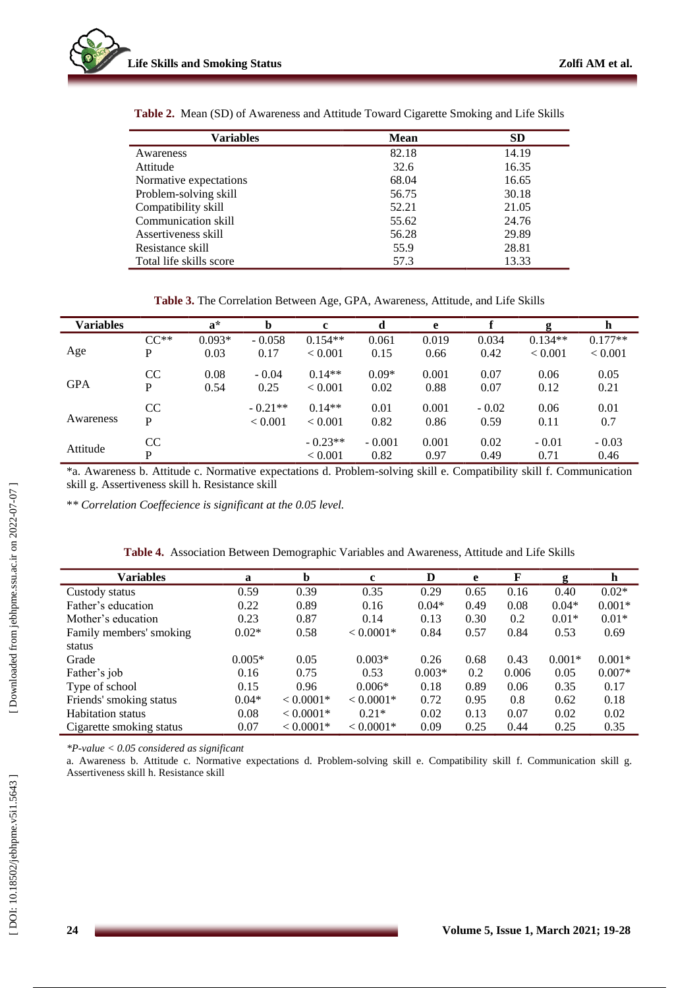

| Variables               | <b>Mean</b> | <b>SD</b> |
|-------------------------|-------------|-----------|
| Awareness               | 82.18       | 14.19     |
| Attitude                | 32.6        | 16.35     |
| Normative expectations  | 68.04       | 16.65     |
| Problem-solving skill   | 56.75       | 30.18     |
| Compatibility skill     | 52.21       | 21.05     |
| Communication skill     | 55.62       | 24.76     |
| Assertiveness skill     | 56.28       | 29.89     |
| Resistance skill        | 55.9        | 28.81     |
| Total life skills score | 57.3        | 13.33     |

**Table 2 .** Mean (SD) of Awareness and Attitude Toward Cigarette Smoking and Life Skills

Table 3. The Correlation Between Age, GPA, Awareness, Attitude, and Life Skills

| <b>Variables</b> |                | $\mathbf{a}^*$   | b                    | $\mathbf c$                |                  | e             |                 | g                    | h                    |
|------------------|----------------|------------------|----------------------|----------------------------|------------------|---------------|-----------------|----------------------|----------------------|
| Age              | $CC**$<br>P    | $0.093*$<br>0.03 | $-0.058$<br>0.17     | $0.154**$<br>< 0.001       | 0.061<br>0.15    | 0.019<br>0.66 | 0.034<br>0.42   | $0.134**$<br>< 0.001 | $0.177**$<br>< 0.001 |
| <b>GPA</b>       | <b>CC</b><br>P | 0.08<br>0.54     | $-0.04$<br>0.25      | $0.14**$<br>${}_{< 0.001}$ | $0.09*$<br>0.02  | 0.001<br>0.88 | 0.07<br>0.07    | 0.06<br>0.12         | 0.05<br>0.21         |
| Awareness        | CC<br>P        |                  | $-0.21**$<br>< 0.001 | $0.14**$<br>< 0.001        | 0.01<br>0.82     | 0.001<br>0.86 | $-0.02$<br>0.59 | 0.06<br>0.11         | 0.01<br>0.7          |
| Attitude         | CC<br>P        |                  |                      | $-0.23**$<br>< 0.001       | $-0.001$<br>0.82 | 0.001<br>0.97 | 0.02<br>0.49    | $-0.01$<br>0.71      | $-0.03$<br>0.46      |

\*a. Awareness b. Attitude c. Normative expectations d. Problem -solving skill e. Compatibility skill f. Communication skill g. Assertiveness skill h. Resistance skill

\**\* Correlation Coeffecience is significant at the 0.05 level.*

| <b>Variables</b>         | a        | b           | c           | D        | e    | F     | g        | h        |
|--------------------------|----------|-------------|-------------|----------|------|-------|----------|----------|
| Custody status           | 0.59     | 0.39        | 0.35        | 0.29     | 0.65 | 0.16  | 0.40     | $0.02*$  |
| Father's education       | 0.22     | 0.89        | 0.16        | $0.04*$  | 0.49 | 0.08  | $0.04*$  | $0.001*$ |
| Mother's education       | 0.23     | 0.87        | 0.14        | 0.13     | 0.30 | 0.2   | $0.01*$  | $0.01*$  |
| Family members' smoking  | $0.02*$  | 0.58        | $< 0.0001*$ | 0.84     | 0.57 | 0.84  | 0.53     | 0.69     |
| status                   |          |             |             |          |      |       |          |          |
| Grade                    | $0.005*$ | 0.05        | $0.003*$    | 0.26     | 0.68 | 0.43  | $0.001*$ | $0.001*$ |
| Father's job             | 0.16     | 0.75        | 0.53        | $0.003*$ | 0.2  | 0.006 | 0.05     | $0.007*$ |
| Type of school           | 0.15     | 0.96        | $0.006*$    | 0.18     | 0.89 | 0.06  | 0.35     | 0.17     |
| Friends' smoking status  | $0.04*$  | $< 0.0001*$ | $< 0.0001*$ | 0.72     | 0.95 | 0.8   | 0.62     | 0.18     |
| <b>Habitation</b> status | 0.08     | $< 0.0001*$ | $0.21*$     | 0.02     | 0.13 | 0.07  | 0.02     | 0.02     |
| Cigarette smoking status | 0.07     | $< 0.0001*$ | $< 0.0001*$ | 0.09     | 0.25 | 0.44  | 0.25     | 0.35     |
|                          |          |             |             |          |      |       |          |          |

|  |  |  |  | Table 4. Association Between Demographic Variables and Awareness, Attitude and Life Skills |  |  |  |  |
|--|--|--|--|--------------------------------------------------------------------------------------------|--|--|--|--|
|--|--|--|--|--------------------------------------------------------------------------------------------|--|--|--|--|

*\*P -value < 0.05 considered as significant*

a. Awareness b. Attitude c. Normative expectations d. Problem -solving skill e. Compatibility skill f. Communication skill g. Assertiveness skill h. Resistance skill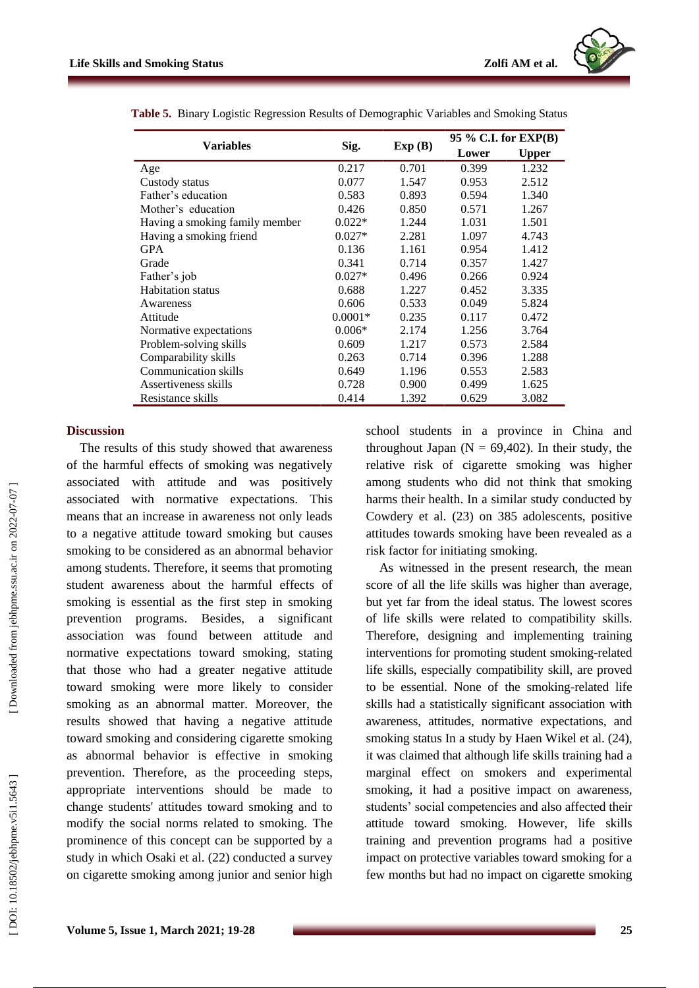

|                                |           |        | 95 % C.I. for EXP(B) |              |  |
|--------------------------------|-----------|--------|----------------------|--------------|--|
| Variables                      | Sig.      | Exp(B) | Lower                | <b>Upper</b> |  |
| Age                            | 0.217     | 0.701  | 0.399                | 1.232        |  |
| Custody status                 | 0.077     | 1.547  | 0.953                | 2.512        |  |
| Father's education             | 0.583     | 0.893  | 0.594                | 1.340        |  |
| Mother's education             | 0.426     | 0.850  | 0.571                | 1.267        |  |
| Having a smoking family member | $0.022*$  | 1.244  | 1.031                | 1.501        |  |
| Having a smoking friend        | $0.027*$  | 2.281  | 1.097                | 4.743        |  |
| <b>GPA</b>                     | 0.136     | 1.161  | 0.954                | 1.412        |  |
| Grade                          | 0.341     | 0.714  | 0.357                | 1.427        |  |
| Father's job                   | $0.027*$  | 0.496  | 0.266                | 0.924        |  |
| <b>Habitation</b> status       | 0.688     | 1.227  | 0.452                | 3.335        |  |
| Awareness                      | 0.606     | 0.533  | 0.049                | 5.824        |  |
| Attitude                       | $0.0001*$ | 0.235  | 0.117                | 0.472        |  |
| Normative expectations         | $0.006*$  | 2.174  | 1.256                | 3.764        |  |
| Problem-solving skills         | 0.609     | 1.217  | 0.573                | 2.584        |  |
| Comparability skills           | 0.263     | 0.714  | 0.396                | 1.288        |  |
| <b>Communication skills</b>    | 0.649     | 1.196  | 0.553                | 2.583        |  |
| Assertiveness skills           | 0.728     | 0.900  | 0.499                | 1.625        |  |
| Resistance skills              | 0.414     | 1.392  | 0.629                | 3.082        |  |

**Table 5 .** Binary Logistic Regression Results of Demographic Variables and Smoking Status

#### **Discussion**

The results of this study showed that awareness of the harmful effects of smoking was negatively associated with attitude and was positively associated with normative expectations. This means that an increase in awareness not only leads to a negative attitude toward smoking but cause s smoking to be considered as an abnormal behavior among students. Therefore, it seems that promoting student awareness about the harmful effect s of smoking is essential as the first step in smoking prevention programs. Besides, a significant association was found between attitude and normative expectations toward smoking, stating that those who had a greater negative attitude toward smoking were more likely to consider smoking as an abnormal matter. Moreover, the results showed that having a negative attitude toward smoking and considering cigarette smoking as abnormal behavior is effective in smoking prevention. Therefore, as the proceeding steps, appropriate interventions should be made to change students' attitudes toward smoking and to modify the social norms related to smoking. The prominence of this concept can be supported by a study in which Osaki et al. (22 ) conducted a survey on cigarette smoking among junior and senior high

school students in a province in China and throughout Japan ( $N = 69,402$ ). In their study, the relative risk of cigarette smoking was higher among students who did not think that smoking harms their health . In a similar study conducted by Cowdery et al. (23 ) on 385 adolescents, positive attitudes towards smoking have been revealed as a risk factor for initiating smoking .

As witnessed in the present research, the mean score of all the life skills was higher than average , but yet far from the ideal status. The lowest scores of life skills were related to compatibility skills . Therefor e , designing and impleme nting training interventions for promoting student smoking-related life skills , especially compatib ility skill , are proved to be essential. None of the smoking -related life skills had a statistically significant association with awareness, attitudes , normative expectations, and smoking status In a study by Haen Wikel et al. (24), it was claimed that although life skills training had a marginal effect on smokers and experimental smoking, it had a positive impact on awareness, students' social competenc ies and als o affected their attitude toward smoking. However, life skills training and prevention programs had a positive impact on protective variables toward smoking for a few months but had no impact on cigarette smoking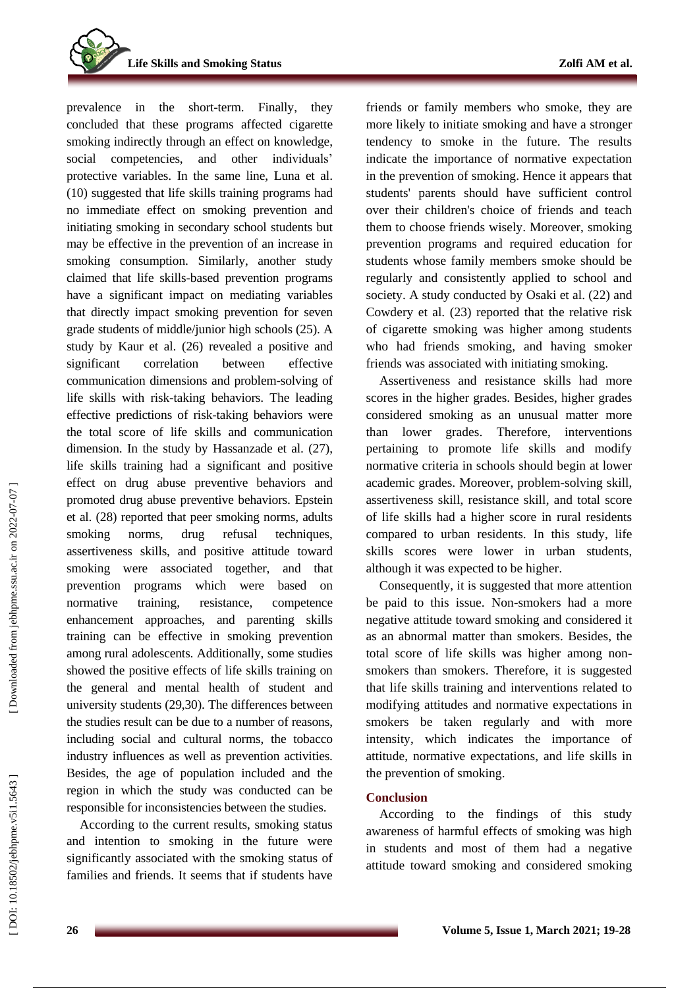**Life Skills and Smoking Status** 

prevalence in the short -term. Finally, they concluded that these programs affected cigarette smoking indirectly through an effect on knowledge, social competenc ies , and other individuals' protective variables . In the same line, Luna et al. (10 ) suggested that life skills training programs had no immediate effect on smoking prevention and initiating smoking in secondary school students but may be effective in the prevention of an increase in smoking consumption . Similarly, another study claimed that life skills -based prevention programs have a significant impact on mediating variables that directly impact smoking prevention for seven grade student s of middle/junior high schools (25 ). A study by Kaur et al. (26 ) revealed a positive and significant correlation between effective communication dimensions and problem -solving of life skills with risk -taking behavior s. The leading effective predictions of risk -taking behaviors were the total score of life skills and communication dimension. In the study by Hassanzade et al. (27 ), life skills training had a significant and positive effect on drug abuse preventive behaviors and promote d drug abuse preventive behaviors. Epstein et al. (28 ) reported that peer smoking norms, adults smoking norms, drug refusal techniques, assertiveness skills , and positive attitude toward smoking were associated together, and that prevention programs which were based on normative training, resistance, competence enhancement approaches, and parenting skills training can be effective in smoking prevention among rural adolescents. Additionally, some studies showed the positive effects of life skills training on the general and mental health of student and university students (29,30 ). The differences between the studies result can be due to a number of reasons, including social and cultural norms, the tobacco industry influences as well as prevention activities. Besides, the age of population included and the region in which the study was conducted can be responsible for inconsistencies between the studies.

According to the current results , smoking status and intention to smoking in the future were significantly associated with the smoking status of families and friends. It seems that if students have friends or family members who smoke, they are more likely to initiate smoking and have a stronger tendency to smoke in the future. The results indicate the importance of normative expectation in the prevention of smoking. Hence it appears that students' parents should have sufficient control over their children's choice of friends and teach them to choose friends wisely. Moreover, smoking prevention programs and required education for students whose family members smoke should be regularly and consistently applied to school and society. A study conducted by Osaki et al.  $(22)$  and Cowdery et al. (23 ) reported that the relative risk of cigarette smoking was higher among students who had friends smoking , and having smoker friends was associated with initiating smoking.

Assertiveness and resistance skill s had more scores in the higher grades. Besides, higher grades considered smoking as an unusual matter more than lower grades . Therefore, interventions pertaining to promote life skills and modify normative criteria in schools should begin at lower academic grades. Moreover, problem -solving skill, assertiveness skill, resistance skill , and total score of life skill s had a higher score in rural residents compared to urban residents. In this study , life skills scores were lower in urban students , although it was expected to be higher .

Consequently, it is suggested that more attention be paid to this issue. Non -smokers had a more negative attitude toward smoking and considered it as an abnormal matter than smokers. Besides, the total score of life skills was higher among non smokers than smokers . Therefore, it is suggested that life skills training and interventions related to modifying attitudes and normative expectations in smokers be taken regularly and with more intensity, which indicates the importance of attitude, normative expectations , and life skill s in the prevention of smoking.

## **Conclusion**

According to the findings of this study awareness of harmful effects of smoking was high in students and most of them had a negative attitude toward smoking and considered smoking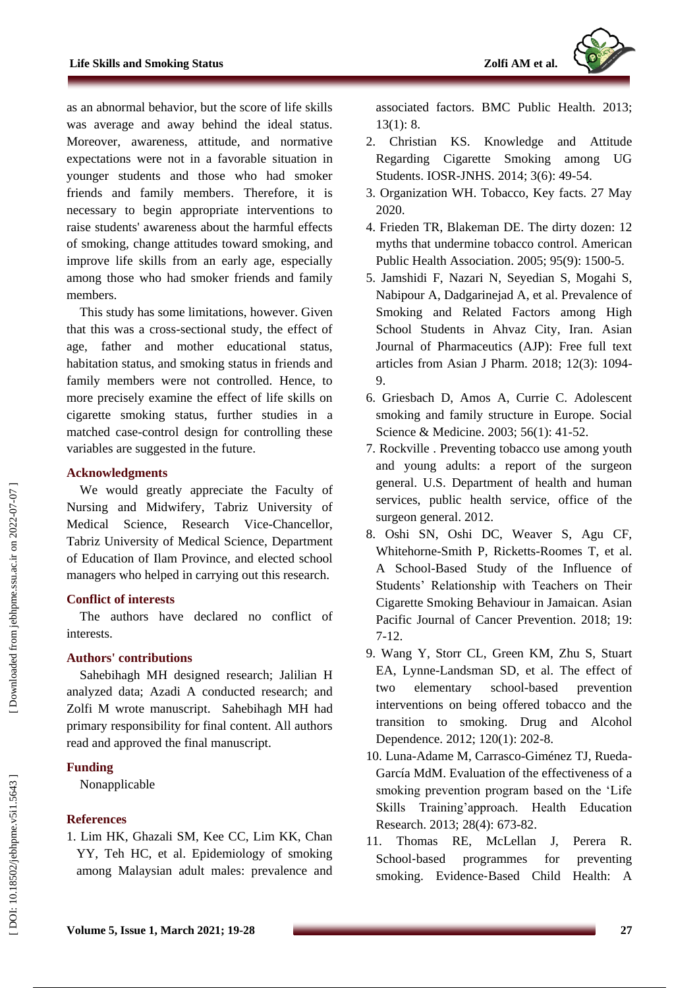as an abnormal behavio r, but the score of life skills was average and away behind the ideal status. Moreover, awareness, attitude , and normative expectations were not in a favorable situation in younger students and those who had smoker friends and family members . Therefore, it is necessary to begin appropriate interventions to raise students' awareness about the harmful effects of smoking, change attitudes toward smoking, and improve life skills from an early age, especially among those who had smoker friends and family members .

This study has some limitations , however. Given that this was a cross -sectional study, the effect of age, father and mother educational status, habitation status , and smoking status in friends and family members were not controlled. Hence, to more precisely examine the effect of life skills on cigarette smoking status, further studies in a matched case -control design for controlling these variables are suggested in the future.

## **Acknowledgment s**

We would greatly appreciate the Faculty of Nursing and Midwifery, Tabriz University of Medical Science, Research Vice -Chancellor, Tabriz University of Medical Science, Department of Education of Ilam Province , and elected school managers who helped in carrying out this research.

# **Conflict of interest s**

The authors have declared no conflict of interest s.

# **Authors' contributions**

Sahebihagh M H designed research ; Jalilian H analyzed data; Azadi A conducted research; and Zolfi M wrote manuscript. Sahebihagh M H had primary responsibility for final content. All authors read and approved the final manuscript.

# **Funding**

Nonapplicable

# **References**

1. Lim HK, Ghazali SM, Kee CC, Lim KK, Chan YY, Teh HC, et al. Epidemiology of smoking among Malaysian adult males: prevalence and associated factors. BMC Public Health. 2013; 13(1): 8.

- 2. Christian KS. Knowledge and Attitude Regarding Cigarette Smoking among UG Students. IOSR -JNHS. 2014; 3(6): 49 -54.
- 3. Organization WH. Tobacco, Key facts. 27 May 2020.
- 4. Frieden TR, Blakeman DE. The dirty dozen: 12 myths that undermine tobacco control. American Public Health Association. 2005; 95(9): 1500 - 5 .
- 5. Jamshidi F, Nazari N, Seyedian S, Mogahi S, Nabipour A, Dadgarinejad A, et al. Prevalence of Smoking and Related Factors among High School Students in Ahvaz City, Iran. Asian Journal of Pharmaceutics (AJP): Free full text articles from Asian J Pharm. 2018; 12(3): 1094 - 9 .
- 6. Griesbach D, Amos A, Currie C. Adolescent smoking and family structure in Europe. Social Science & Medicine. 2003; 56(1): 41-52.
- 7. Rockville . Preventing tobacco use among youth and young adults: a report of the surgeon general. U.S. Department of health and human services, public health service, office of the surgeon general. 2012.
- 8. Oshi SN, Oshi DC, Weaver S, Agu CF, Whitehorne -Smith P, Ricketts -Roomes T, et al. A School -Based Study of the Influence of Students' Relationship with Teachers on Their Cigarette Smoking Behaviour in Jamaican. Asian Pacific Journal of Cancer Prevention. 2018; 19: 7-12.
- 9. Wang Y, Storr CL, Green KM, Zhu S, Stuart EA, Lynne -Landsman SD, et al. The effect of two elementary school prevention interventions on being offered tobacco and the transition to smoking. Drug and Alcohol Dependence. 2012; 120(1): 202 -8.
- 10. Luna -Adame M, Carrasco -Giménez TJ, Rueda García MdM. Evaluation of the effectiveness of a smoking prevention program based on the 'Life Skills Training'approach. Health Education Research. 2013; 28(4): 673 -82.
- 11. Thomas RE, McLellan J, Perera R. School-based programmes for preventing smoking. Evidence ‐Based Child Health: A